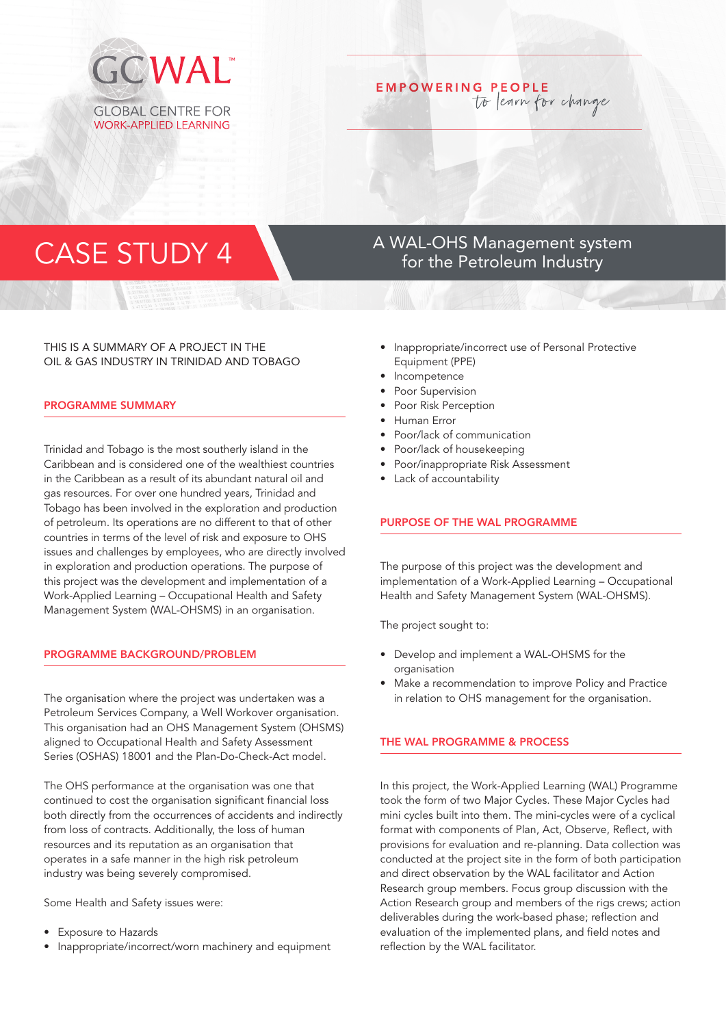

# **EMPOWERING PEOPLE** to learn for change

# CASE STUDY 4 A WAL-OHS Management system<br>
for the Petroleum Industry

# THIS IS A SUMMARY OF A PROJECT IN THE OIL & GAS INDUSTRY IN TRINIDAD AND TOBAGO

#### PROGRAMME SUMMARY

Trinidad and Tobago is the most southerly island in the Caribbean and is considered one of the wealthiest countries in the Caribbean as a result of its abundant natural oil and gas resources. For over one hundred years, Trinidad and Tobago has been involved in the exploration and production of petroleum. Its operations are no different to that of other countries in terms of the level of risk and exposure to OHS issues and challenges by employees, who are directly involved in exploration and production operations. The purpose of this project was the development and implementation of a Work-Applied Learning – Occupational Health and Safety Management System (WAL-OHSMS) in an organisation.

#### PROGRAMME BACKGROUND/PROBLEM

The organisation where the project was undertaken was a Petroleum Services Company, a Well Workover organisation. This organisation had an OHS Management System (OHSMS) aligned to Occupational Health and Safety Assessment Series (OSHAS) 18001 and the Plan-Do-Check-Act model.

The OHS performance at the organisation was one that continued to cost the organisation significant financial loss both directly from the occurrences of accidents and indirectly from loss of contracts. Additionally, the loss of human resources and its reputation as an organisation that operates in a safe manner in the high risk petroleum industry was being severely compromised.

Some Health and Safety issues were:

- Exposure to Hazards
- Inappropriate/incorrect/worn machinery and equipment

for the Petroleum Industry

- Inappropriate/incorrect use of Personal Protective Equipment (PPE)
- **Incompetence**
- Poor Supervision
- Poor Risk Perception
- Human Error
- Poor/lack of communication
- Poor/lack of housekeeping
- Poor/inappropriate Risk Assessment
- Lack of accountability

## PURPOSE OF THE WAL PROGRAMME

The purpose of this project was the development and implementation of a Work-Applied Learning – Occupational Health and Safety Management System (WAL-OHSMS).

The project sought to:

- Develop and implement a WAL-OHSMS for the organisation
- Make a recommendation to improve Policy and Practice in relation to OHS management for the organisation.

# THE WAL PROGRAMME & PROCESS

In this project, the Work-Applied Learning (WAL) Programme took the form of two Major Cycles. These Major Cycles had mini cycles built into them. The mini-cycles were of a cyclical format with components of Plan, Act, Observe, Reflect, with provisions for evaluation and re-planning. Data collection was conducted at the project site in the form of both participation and direct observation by the WAL facilitator and Action Research group members. Focus group discussion with the Action Research group and members of the rigs crews; action deliverables during the work-based phase; reflection and evaluation of the implemented plans, and field notes and reflection by the WAL facilitator.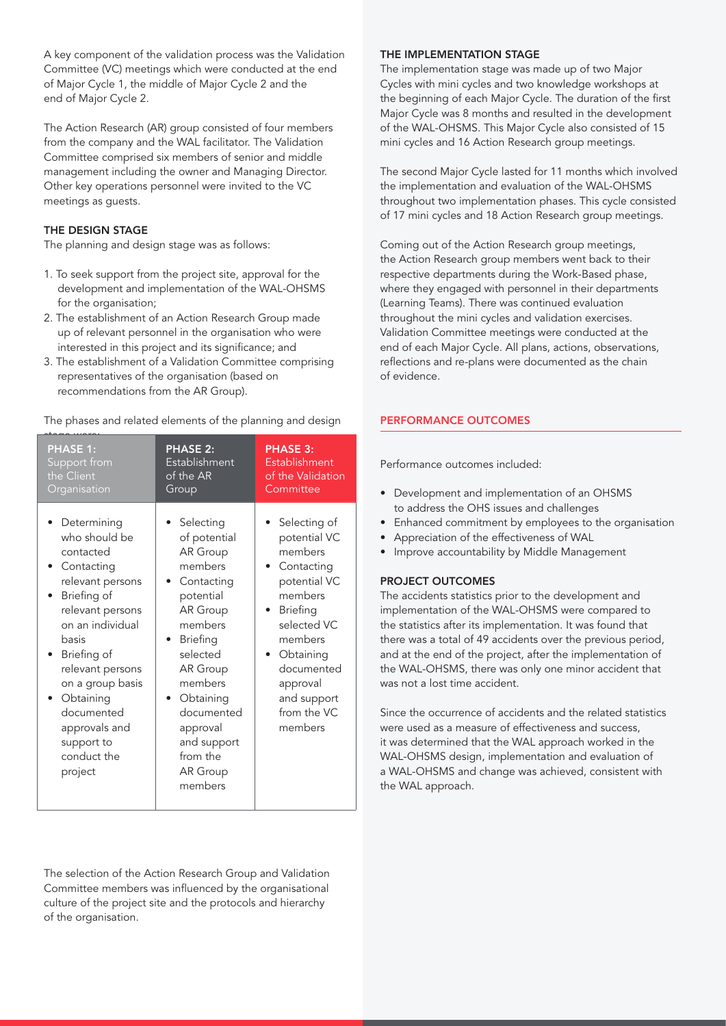A key component of the validation process was the Validation Committee (VC) meetings which were conducted at the end of Major Cycle 1, the middle of Major Cycle 2 and the end of Major Cycle 2.

The Action Research (AR) group consisted of four members from the company and the WAL facilitator. The Validation Committee comprised six members of senior and middle management including the owner and Managing Director. Other key operations personnel were invited to the VC meetings as guests.

# THE DESIGN STAGE

The planning and design stage was as follows:

- 1. To seek support from the project site, approval for the development and implementation of the WAL-OHSMS for the organisation;
- 2. The establishment of an Action Research Group made up of relevant personnel in the organisation who were interested in this project and its significance; and
- 3. The establishment of a Validation Committee comprising representatives of the organisation (based on recommendations from the AR Group).

The phases and related elements of the planning and design

| <b>PHASE 1:</b>                                                                                                                                                                                                                                                                        | <b>PHASE 2:</b>                                                                                                                                                                                                                                   | <b>PHASE 3:</b>                                                                                                                                                                                                            |
|----------------------------------------------------------------------------------------------------------------------------------------------------------------------------------------------------------------------------------------------------------------------------------------|---------------------------------------------------------------------------------------------------------------------------------------------------------------------------------------------------------------------------------------------------|----------------------------------------------------------------------------------------------------------------------------------------------------------------------------------------------------------------------------|
| Support from                                                                                                                                                                                                                                                                           | Establishment                                                                                                                                                                                                                                     | Establishment                                                                                                                                                                                                              |
| the Client                                                                                                                                                                                                                                                                             | of the AR                                                                                                                                                                                                                                         | of the Validation                                                                                                                                                                                                          |
| Organisation                                                                                                                                                                                                                                                                           | Group                                                                                                                                                                                                                                             | Committee                                                                                                                                                                                                                  |
| Determining<br>who should be<br>contacted<br>Contacting<br>relevant persons<br>Briefing of<br>relevant persons<br>on an individual<br>hasis<br>Briefing of<br>relevant persons<br>on a group basis<br>Obtaining<br>documented<br>approvals and<br>support to<br>conduct the<br>project | Selecting<br>of potential<br>AR Group<br>members<br>Contacting<br>potential<br>AR Group<br>members<br><b>Briefing</b><br>selected<br>AR Group<br>members<br>Obtaining<br>documented<br>approval<br>and support<br>from the<br>AR Group<br>members | Selecting of<br>potential VC<br>members<br>Contacting<br>potential VC<br>members<br><b>Briefing</b><br>selected VC<br>members<br>Obtaining<br>$\bullet$<br>documented<br>approval<br>and support<br>from the VC<br>members |

# The selection of the Action Research Group and Validation Committee members was influenced by the organisational culture of the project site and the protocols and hierarchy of the organisation.

#### THE IMPLEMENTATION STAGE

The implementation stage was made up of two Major Cycles with mini cycles and two knowledge workshops at the beginning of each Major Cycle. The duration of the first Major Cycle was 8 months and resulted in the development of the WAL-OHSMS. This Major Cycle also consisted of 15 mini cycles and 16 Action Research group meetings.

The second Major Cycle lasted for 11 months which involved the implementation and evaluation of the WAL-OHSMS throughout two implementation phases. This cycle consisted of 17 mini cycles and 18 Action Research group meetings.

Coming out of the Action Research group meetings, the Action Research group members went back to their respective departments during the Work-Based phase, where they engaged with personnel in their departments (Learning Teams). There was continued evaluation throughout the mini cycles and validation exercises. Validation Committee meetings were conducted at the end of each Major Cycle. All plans, actions, observations, reflections and re-plans were documented as the chain of evidence.

#### PERFORMANCE OUTCOMES

Performance outcomes included:

- Development and implementation of an OHSMS to address the OHS issues and challenges
- Enhanced commitment by employees to the organisation
- Appreciation of the effectiveness of WAL
- Improve accountability by Middle Management

#### PROJECT OUTCOMES

The accidents statistics prior to the development and implementation of the WAL-OHSMS were compared to the statistics after its implementation. It was found that there was a total of 49 accidents over the previous period, and at the end of the project, after the implementation of the WAL-OHSMS, there was only one minor accident that was not a lost time accident.

Since the occurrence of accidents and the related statistics were used as a measure of effectiveness and success, it was determined that the WAL approach worked in the WAL-OHSMS design, implementation and evaluation of a WAL-OHSMS and change was achieved, consistent with the WAL approach.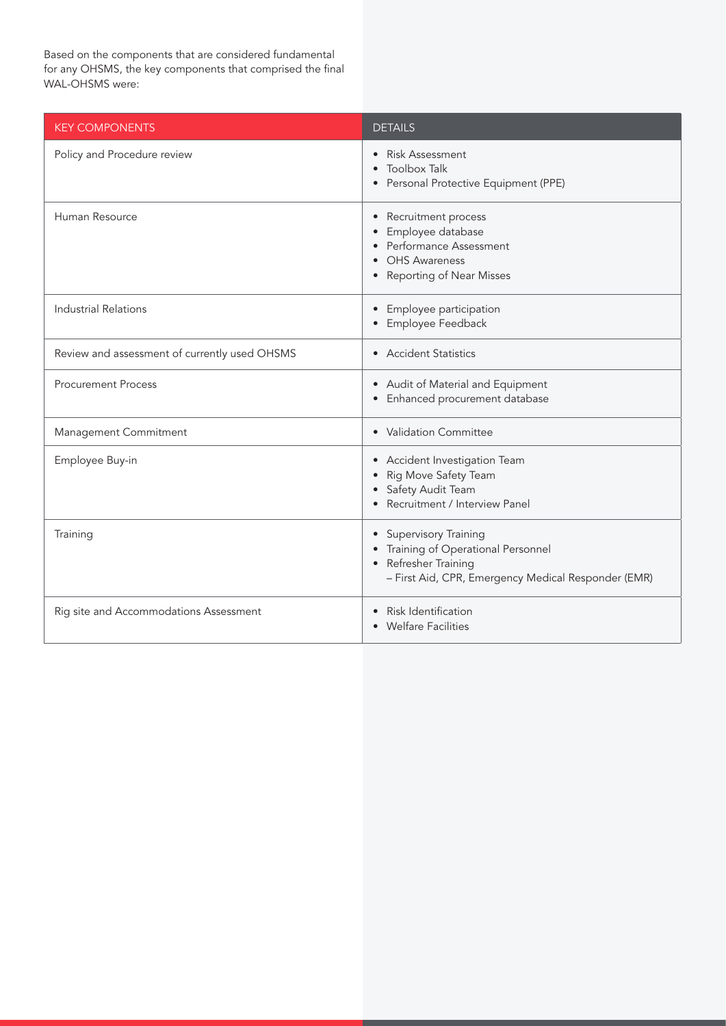Based on the components that are considered fundamental for any OHSMS, the key components that comprised the final WAL-OHSMS were:

| <b>KEY COMPONENTS</b>                         | <b>DETAILS</b>                                                                                                                           |
|-----------------------------------------------|------------------------------------------------------------------------------------------------------------------------------------------|
| Policy and Procedure review                   | • Risk Assessment<br>• Toolbox Talk<br>• Personal Protective Equipment (PPE)                                                             |
| Human Resource                                | • Recruitment process<br>Employee database<br>Performance Assessment<br><b>OHS Awareness</b><br>• Reporting of Near Misses               |
| <b>Industrial Relations</b>                   | • Employee participation<br>Employee Feedback                                                                                            |
| Review and assessment of currently used OHSMS | • Accident Statistics                                                                                                                    |
| <b>Procurement Process</b>                    | • Audit of Material and Equipment<br>• Enhanced procurement database                                                                     |
| Management Commitment                         | • Validation Committee                                                                                                                   |
| Employee Buy-in                               | • Accident Investigation Team<br>Rig Move Safety Team<br>• Safety Audit Team<br>Recruitment / Interview Panel                            |
| Training                                      | • Supervisory Training<br>Training of Operational Personnel<br>Refresher Training<br>- First Aid, CPR, Emergency Medical Responder (EMR) |
| Rig site and Accommodations Assessment        | Risk Identification<br><b>Welfare Facilities</b>                                                                                         |